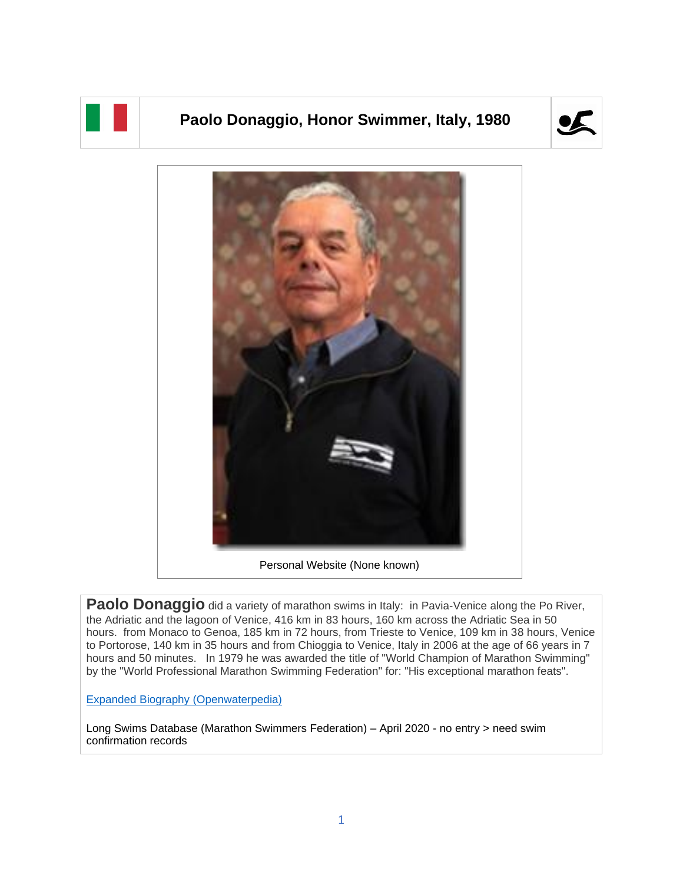

## **Paolo Donaggio, Honor Swimmer, Italy, 1980**





Personal Website (None known)

**Paolo Donaggio** did a variety of marathon swims in Italy: in Pavia-Venice along the Po River, the Adriatic and the lagoon of Venice, 416 km in 83 hours, 160 km across the Adriatic Sea in 50 hours. from Monaco to Genoa, 185 km in 72 hours, from Trieste to Venice, 109 km in 38 hours, Venice to Portorose, 140 km in 35 hours and from Chioggia to Venice, Italy in 2006 at the age of 66 years in 7 hours and 50 minutes. In 1979 he was awarded the title of "World Champion of Marathon Swimming" by the "World Professional Marathon Swimming Federation" for: "His exceptional marathon feats".

[Expanded Biography](https://www.openwaterpedia.com/index.php?title=Paolo_Donaggio) (Openwaterpedia)

Long Swims Database (Marathon Swimmers Federation) – April 2020 - no entry > need swim confirmation records